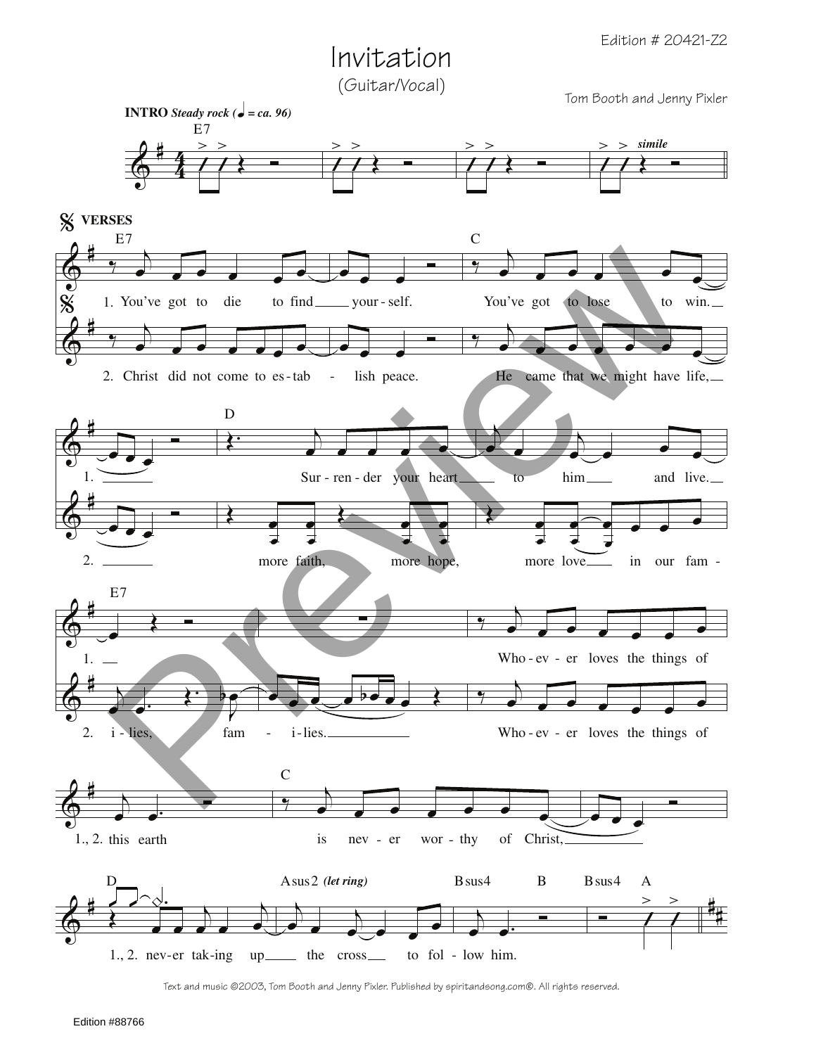## Invitation

(Guitar/Vocal)

Tom Booth and Jenny Pixler



Text and music ©2003, Tom Booth and Jenny Pixler. Published by spiritandsong.com®. All rights reserved.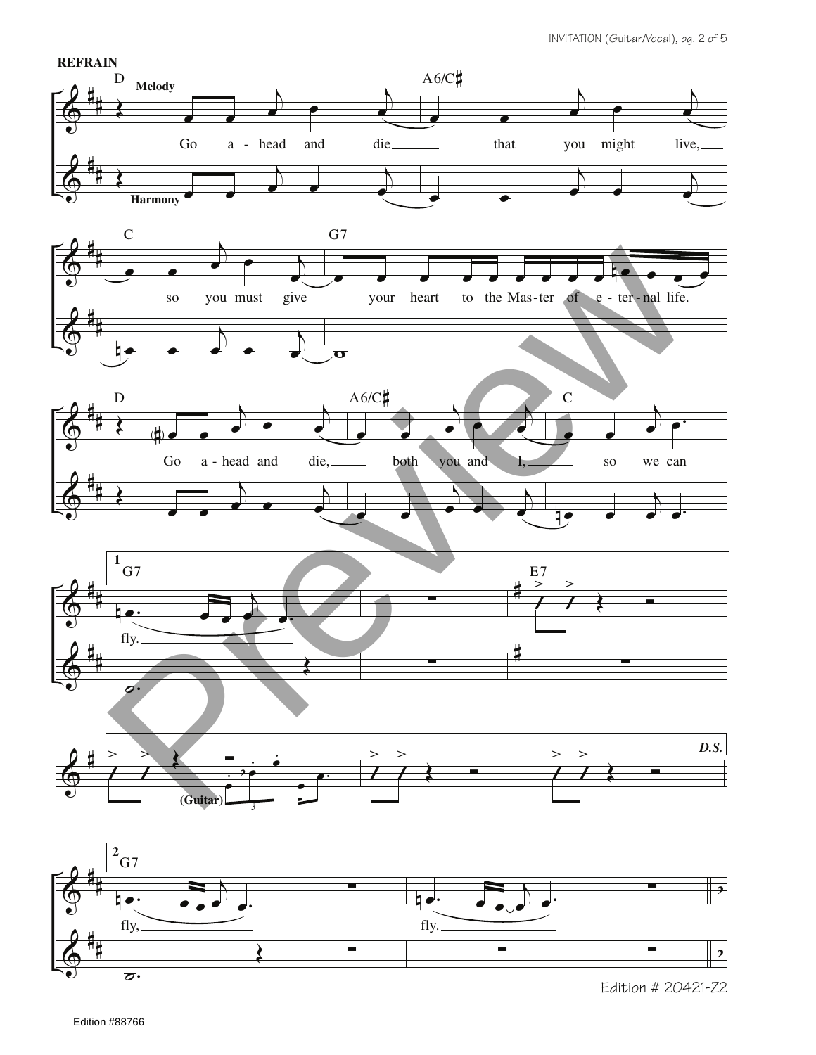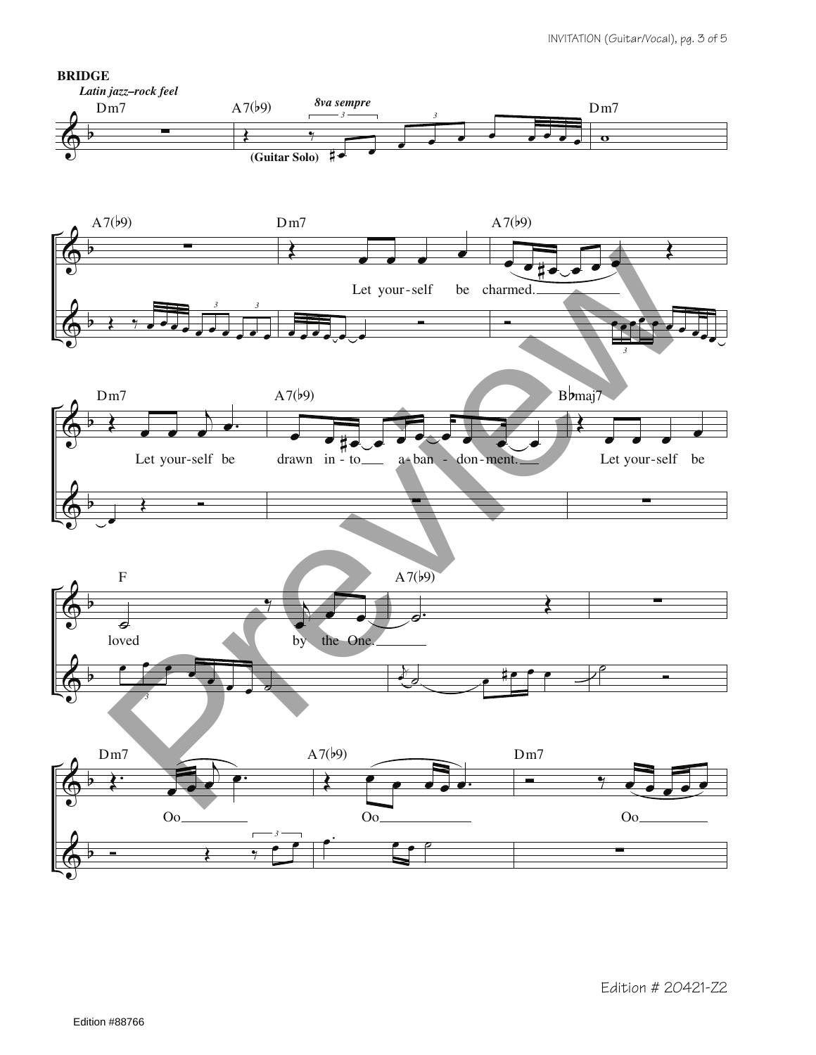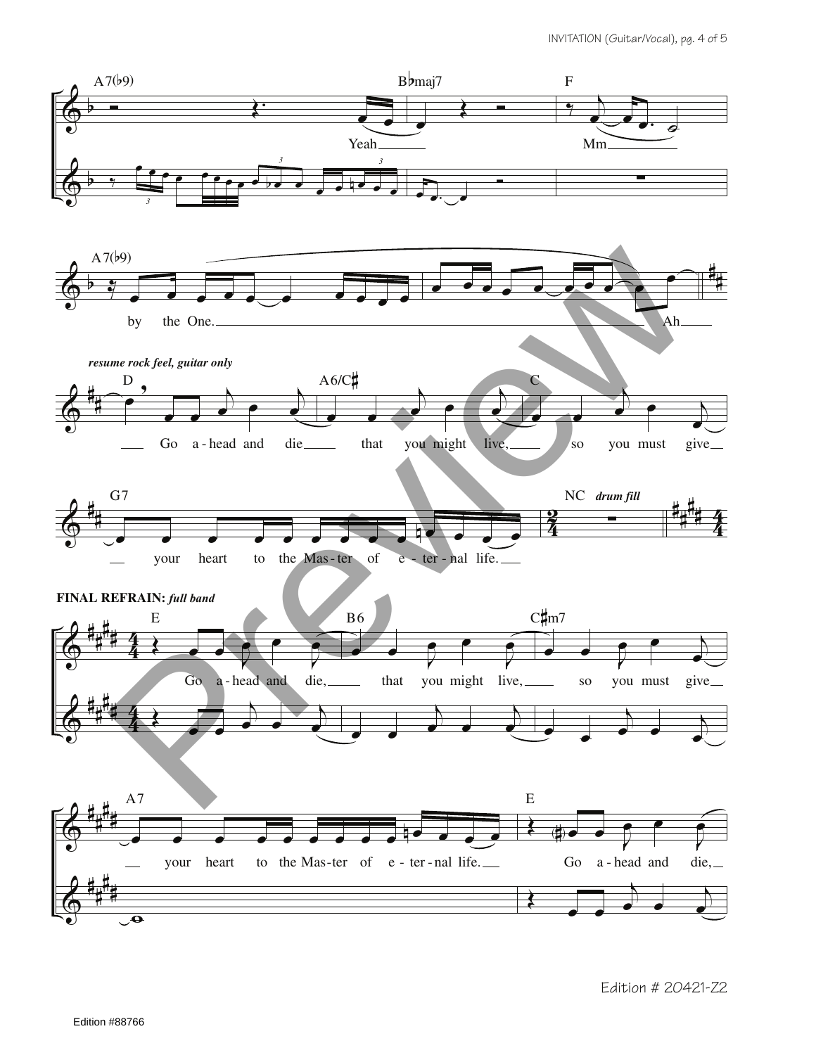